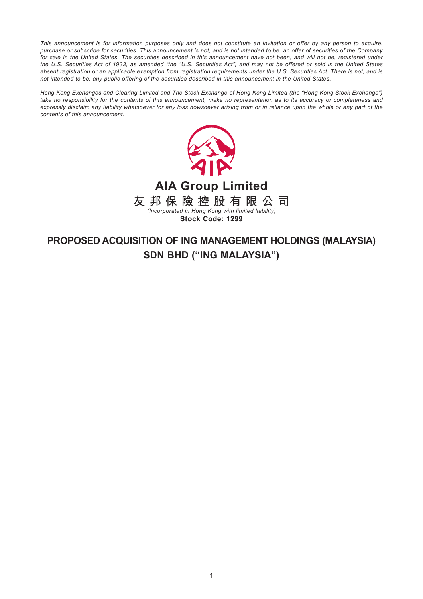*This announcement is for information purposes only and does not constitute an invitation or offer by any person to acquire, purchase or subscribe for securities. This announcement is not, and is not intended to be, an offer of securities of the Company*  for sale in the United States. The securities described in this announcement have not been, and will not be, registered under *the U.S. Securities Act of 1933, as amended (the "U.S. Securities Act") and may not be offered or sold in the United States absent registration or an applicable exemption from registration requirements under the U.S. Securities Act. There is not, and is not intended to be, any public offering of the securities described in this announcement in the United States.*

*Hong Kong Exchanges and Clearing Limited and The Stock Exchange of Hong Kong Limited (the "Hong Kong Stock Exchange") take no responsibility for the contents of this announcement, make no representation as to its accuracy or completeness and expressly disclaim any liability whatsoever for any loss howsoever arising from or in reliance upon the whole or any part of the contents of this announcement.*



# **PROPOSED ACQUISITION OF ING MANAGEMENT HOLDINGS (MALAYSIA) SDN BHD ("ING MALAYSIA")**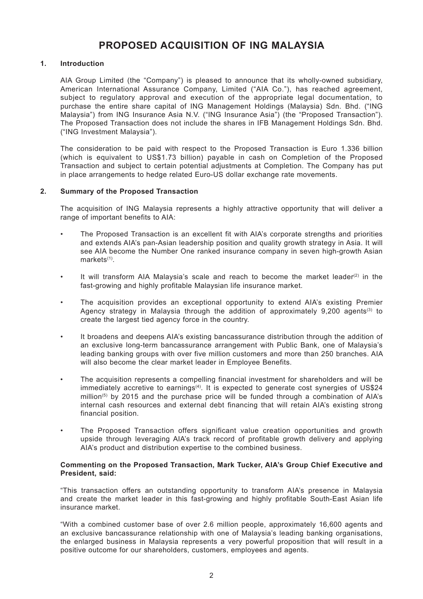## **PROPOSED ACQUISITION OF ING MALAYSIA**

## **1. Introduction**

AIA Group Limited (the "Company") is pleased to announce that its wholly-owned subsidiary, American International Assurance Company, Limited ("AIA Co."), has reached agreement, subject to regulatory approval and execution of the appropriate legal documentation, to purchase the entire share capital of ING Management Holdings (Malaysia) Sdn. Bhd. ("ING Malaysia") from ING Insurance Asia N.V. ("ING Insurance Asia") (the "Proposed Transaction"). The Proposed Transaction does not include the shares in IFB Management Holdings Sdn. Bhd. ("ING Investment Malaysia").

The consideration to be paid with respect to the Proposed Transaction is Euro 1.336 billion (which is equivalent to US\$1.73 billion) payable in cash on Completion of the Proposed Transaction and subject to certain potential adjustments at Completion. The Company has put in place arrangements to hedge related Euro-US dollar exchange rate movements.

## **2. Summary of the Proposed Transaction**

The acquisition of ING Malaysia represents a highly attractive opportunity that will deliver a range of important benefits to AIA:

- The Proposed Transaction is an excellent fit with AIA's corporate strengths and priorities and extends AIA's pan-Asian leadership position and quality growth strategy in Asia. It will see AIA become the Number One ranked insurance company in seven high-growth Asian markets<sup>(1)</sup>.
- It will transform AIA Malaysia's scale and reach to become the market leader<sup>(2)</sup> in the fast-growing and highly profitable Malaysian life insurance market.
- The acquisition provides an exceptional opportunity to extend AIA's existing Premier Agency strategy in Malaysia through the addition of approximately  $9,200$  agents<sup>(3)</sup> to create the largest tied agency force in the country.
- It broadens and deepens AIA's existing bancassurance distribution through the addition of an exclusive long-term bancassurance arrangement with Public Bank, one of Malaysia's leading banking groups with over five million customers and more than 250 branches. AIA will also become the clear market leader in Employee Benefits.
- The acquisition represents a compelling financial investment for shareholders and will be  $immediately accretive to earnings<sup>(4)</sup>. It is expected to generate cost supergies of US$24$ million<sup>(5)</sup> by 2015 and the purchase price will be funded through a combination of AIA's internal cash resources and external debt financing that will retain AIA's existing strong financial position.
- The Proposed Transaction offers significant value creation opportunities and growth upside through leveraging AIA's track record of profitable growth delivery and applying AIA's product and distribution expertise to the combined business.

## **Commenting on the Proposed Transaction, Mark Tucker, AIA's Group Chief Executive and President, said:**

"This transaction offers an outstanding opportunity to transform AIA's presence in Malaysia and create the market leader in this fast-growing and highly profitable South-East Asian life insurance market.

"With a combined customer base of over 2.6 million people, approximately 16,600 agents and an exclusive bancassurance relationship with one of Malaysia's leading banking organisations, the enlarged business in Malaysia represents a very powerful proposition that will result in a positive outcome for our shareholders, customers, employees and agents.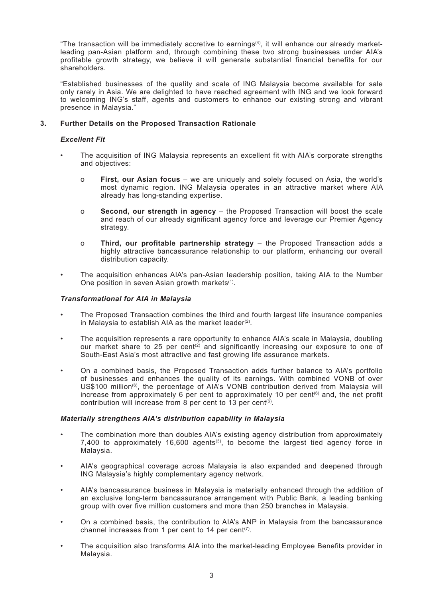"The transaction will be immediately accretive to earnings(4), it will enhance our already marketleading pan-Asian platform and, through combining these two strong businesses under AIA's profitable growth strategy, we believe it will generate substantial financial benefits for our shareholders.

"Established businesses of the quality and scale of ING Malaysia become available for sale only rarely in Asia. We are delighted to have reached agreement with ING and we look forward to welcoming ING's staff, agents and customers to enhance our existing strong and vibrant presence in Malaysia."

## **3. Further Details on the Proposed Transaction Rationale**

## *Excellent Fit*

- The acquisition of ING Malaysia represents an excellent fit with AIA's corporate strengths and objectives:
	- o **First, our Asian focus** we are uniquely and solely focused on Asia, the world's most dynamic region. ING Malaysia operates in an attractive market where AIA already has long-standing expertise.
	- o **Second, our strength in agency** the Proposed Transaction will boost the scale and reach of our already significant agency force and leverage our Premier Agency strategy.
	- o **Third, our profitable partnership strategy** the Proposed Transaction adds a highly attractive bancassurance relationship to our platform, enhancing our overall distribution capacity.
- The acquisition enhances AIA's pan-Asian leadership position, taking AIA to the Number One position in seven Asian growth markets<sup>(1)</sup>.

## *Transformational for AIA in Malaysia*

- The Proposed Transaction combines the third and fourth largest life insurance companies in Malaysia to establish AIA as the market leader<sup>(2)</sup>.
- The acquisition represents a rare opportunity to enhance AIA's scale in Malaysia, doubling our market share to 25 per cent<sup>(2)</sup> and significantly increasing our exposure to one of South-East Asia's most attractive and fast growing life assurance markets.
- On a combined basis, the Proposed Transaction adds further balance to AIA's portfolio of businesses and enhances the quality of its earnings. With combined VONB of over US\$100 million<sup>(6)</sup>, the percentage of AIA's VONB contribution derived from Malaysia will increase from approximately 6 per cent to approximately 10 per cent<sup> $(6)$ </sup> and, the net profit contribution will increase from 8 per cent to 13 per cent<sup>(6)</sup>.

## *Materially strengthens AIA's distribution capability in Malaysia*

- The combination more than doubles AIA's existing agency distribution from approximately 7,400 to approximately 16,600 agents<sup>(3)</sup>, to become the largest tied agency force in Malaysia.
- AIA's geographical coverage across Malaysia is also expanded and deepened through ING Malaysia's highly complementary agency network.
- AIA's bancassurance business in Malaysia is materially enhanced through the addition of an exclusive long-term bancassurance arrangement with Public Bank, a leading banking group with over five million customers and more than 250 branches in Malaysia.
- On a combined basis, the contribution to AIA's ANP in Malaysia from the bancassurance channel increases from 1 per cent to 14 per cent<sup> $(7)$ </sup>.
- The acquisition also transforms AIA into the market-leading Employee Benefits provider in Malaysia.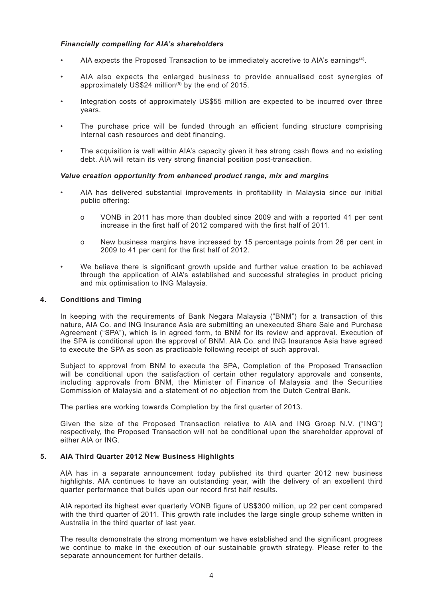## *Financially compelling for AIA's shareholders*

- AIA expects the Proposed Transaction to be immediately accretive to AIA's earnings<sup>(4)</sup>.
- AIA also expects the enlarged business to provide annualised cost synergies of approximately US\$24 million<sup> $(5)$ </sup> by the end of 2015.
- Integration costs of approximately US\$55 million are expected to be incurred over three years.
- The purchase price will be funded through an efficient funding structure comprising internal cash resources and debt financing.
- The acquisition is well within AIA's capacity given it has strong cash flows and no existing debt. AIA will retain its very strong financial position post-transaction.

## *Value creation opportunity from enhanced product range, mix and margins*

- AIA has delivered substantial improvements in profitability in Malaysia since our initial public offering:
	- o VONB in 2011 has more than doubled since 2009 and with a reported 41 per cent increase in the first half of 2012 compared with the first half of 2011.
	- o New business margins have increased by 15 percentage points from 26 per cent in 2009 to 41 per cent for the first half of 2012.
- We believe there is significant growth upside and further value creation to be achieved through the application of AIA's established and successful strategies in product pricing and mix optimisation to ING Malaysia.

## **4. Conditions and Timing**

In keeping with the requirements of Bank Negara Malaysia ("BNM") for a transaction of this nature, AIA Co. and ING Insurance Asia are submitting an unexecuted Share Sale and Purchase Agreement ("SPA"), which is in agreed form, to BNM for its review and approval. Execution of the SPA is conditional upon the approval of BNM. AIA Co. and ING Insurance Asia have agreed to execute the SPA as soon as practicable following receipt of such approval.

Subject to approval from BNM to execute the SPA, Completion of the Proposed Transaction will be conditional upon the satisfaction of certain other regulatory approvals and consents, including approvals from BNM, the Minister of Finance of Malaysia and the Securities Commission of Malaysia and a statement of no objection from the Dutch Central Bank.

The parties are working towards Completion by the first quarter of 2013.

Given the size of the Proposed Transaction relative to AIA and ING Groep N.V. ("ING") respectively, the Proposed Transaction will not be conditional upon the shareholder approval of either AIA or ING.

## **5. AIA Third Quarter 2012 New Business Highlights**

AIA has in a separate announcement today published its third quarter 2012 new business highlights. AIA continues to have an outstanding year, with the delivery of an excellent third quarter performance that builds upon our record first half results.

AIA reported its highest ever quarterly VONB figure of US\$300 million, up 22 per cent compared with the third quarter of 2011. This growth rate includes the large single group scheme written in Australia in the third quarter of last year.

The results demonstrate the strong momentum we have established and the significant progress we continue to make in the execution of our sustainable growth strategy. Please refer to the separate announcement for further details.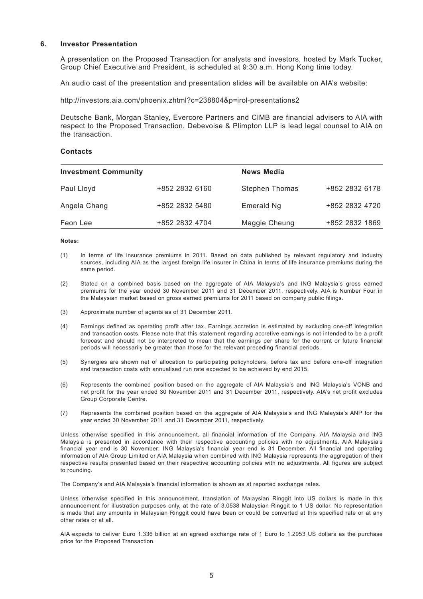### **6. Investor Presentation**

A presentation on the Proposed Transaction for analysts and investors, hosted by Mark Tucker, Group Chief Executive and President, is scheduled at 9:30 a.m. Hong Kong time today.

An audio cast of the presentation and presentation slides will be available on AIA's website:

http://investors.aia.com/phoenix.zhtml?c=238804&p=irol-presentations2

Deutsche Bank, Morgan Stanley, Evercore Partners and CIMB are financial advisers to AIA with respect to the Proposed Transaction. Debevoise & Plimpton LLP is lead legal counsel to AIA on the transaction.

#### **Contacts**

| <b>Investment Community</b> |                | <b>News Media</b>     |                |
|-----------------------------|----------------|-----------------------|----------------|
| Paul Lloyd                  | +852 2832 6160 | <b>Stephen Thomas</b> | +852 2832 6178 |
| Angela Chang                | +852 2832 5480 | Emerald Ng            | +852 2832 4720 |
| Feon Lee                    | +852 2832 4704 | Maggie Cheung         | +852 2832 1869 |

#### **Notes:**

- (1) In terms of life insurance premiums in 2011. Based on data published by relevant regulatory and industry sources, including AIA as the largest foreign life insurer in China in terms of life insurance premiums during the same period.
- (2) Stated on a combined basis based on the aggregate of AIA Malaysia's and ING Malaysia's gross earned premiums for the year ended 30 November 2011 and 31 December 2011, respectively. AIA is Number Four in the Malaysian market based on gross earned premiums for 2011 based on company public filings.
- (3) Approximate number of agents as of 31 December 2011.
- (4) Earnings defined as operating profit after tax. Earnings accretion is estimated by excluding one-off integration and transaction costs. Please note that this statement regarding accretive earnings is not intended to be a profit forecast and should not be interpreted to mean that the earnings per share for the current or future financial periods will necessarily be greater than those for the relevant preceding financial periods.
- (5) Synergies are shown net of allocation to participating policyholders, before tax and before one-off integration and transaction costs with annualised run rate expected to be achieved by end 2015.
- (6) Represents the combined position based on the aggregate of AIA Malaysia's and ING Malaysia's VONB and net profit for the year ended 30 November 2011 and 31 December 2011, respectively. AIA's net profit excludes Group Corporate Centre.
- (7) Represents the combined position based on the aggregate of AIA Malaysia's and ING Malaysia's ANP for the year ended 30 November 2011 and 31 December 2011, respectively.

Unless otherwise specified in this announcement, all financial information of the Company, AIA Malaysia and ING Malaysia is presented in accordance with their respective accounting policies with no adjustments. AIA Malaysia's financial year end is 30 November; ING Malaysia's financial year end is 31 December. All financial and operating information of AIA Group Limited or AIA Malaysia when combined with ING Malaysia represents the aggregation of their respective results presented based on their respective accounting policies with no adjustments. All figures are subject to rounding.

The Company's and AIA Malaysia's financial information is shown as at reported exchange rates.

Unless otherwise specified in this announcement, translation of Malaysian Ringgit into US dollars is made in this announcement for illustration purposes only, at the rate of 3.0538 Malaysian Ringgit to 1 US dollar. No representation is made that any amounts in Malaysian Ringgit could have been or could be converted at this specified rate or at any other rates or at all.

AIA expects to deliver Euro 1.336 billion at an agreed exchange rate of 1 Euro to 1.2953 US dollars as the purchase price for the Proposed Transaction.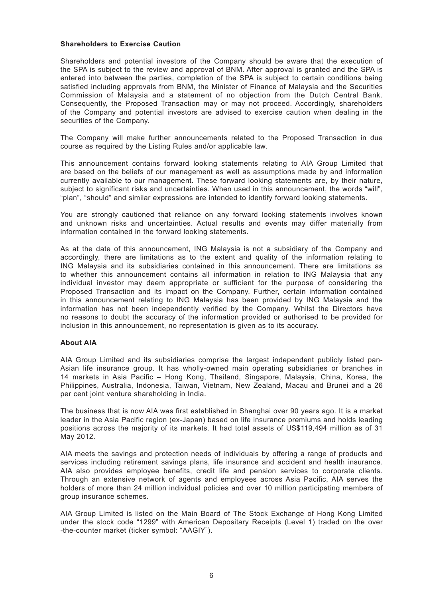## **Shareholders to Exercise Caution**

Shareholders and potential investors of the Company should be aware that the execution of the SPA is subject to the review and approval of BNM. After approval is granted and the SPA is entered into between the parties, completion of the SPA is subject to certain conditions being satisfied including approvals from BNM, the Minister of Finance of Malaysia and the Securities Commission of Malaysia and a statement of no objection from the Dutch Central Bank. Consequently, the Proposed Transaction may or may not proceed. Accordingly, shareholders of the Company and potential investors are advised to exercise caution when dealing in the securities of the Company.

The Company will make further announcements related to the Proposed Transaction in due course as required by the Listing Rules and/or applicable law.

This announcement contains forward looking statements relating to AIA Group Limited that are based on the beliefs of our management as well as assumptions made by and information currently available to our management. These forward looking statements are, by their nature, subject to significant risks and uncertainties. When used in this announcement, the words "will", "plan", "should" and similar expressions are intended to identify forward looking statements.

You are strongly cautioned that reliance on any forward looking statements involves known and unknown risks and uncertainties. Actual results and events may differ materially from information contained in the forward looking statements.

As at the date of this announcement, ING Malaysia is not a subsidiary of the Company and accordingly, there are limitations as to the extent and quality of the information relating to ING Malaysia and its subsidiaries contained in this announcement. There are limitations as to whether this announcement contains all information in relation to ING Malaysia that any individual investor may deem appropriate or sufficient for the purpose of considering the Proposed Transaction and its impact on the Company. Further, certain information contained in this announcement relating to ING Malaysia has been provided by ING Malaysia and the information has not been independently verified by the Company. Whilst the Directors have no reasons to doubt the accuracy of the information provided or authorised to be provided for inclusion in this announcement, no representation is given as to its accuracy.

## **About AIA**

AIA Group Limited and its subsidiaries comprise the largest independent publicly listed pan-Asian life insurance group. It has wholly-owned main operating subsidiaries or branches in 14 markets in Asia Pacific – Hong Kong, Thailand, Singapore, Malaysia, China, Korea, the Philippines, Australia, Indonesia, Taiwan, Vietnam, New Zealand, Macau and Brunei and a 26 per cent joint venture shareholding in India.

The business that is now AIA was first established in Shanghai over 90 years ago. It is a market leader in the Asia Pacific region (ex-Japan) based on life insurance premiums and holds leading positions across the majority of its markets. It had total assets of US\$119,494 million as of 31 May 2012.

AIA meets the savings and protection needs of individuals by offering a range of products and services including retirement savings plans, life insurance and accident and health insurance. AIA also provides employee benefits, credit life and pension services to corporate clients. Through an extensive network of agents and employees across Asia Pacific, AIA serves the holders of more than 24 million individual policies and over 10 million participating members of group insurance schemes.

AIA Group Limited is listed on the Main Board of The Stock Exchange of Hong Kong Limited under the stock code "1299" with American Depositary Receipts (Level 1) traded on the over -the-counter market (ticker symbol: "AAGIY").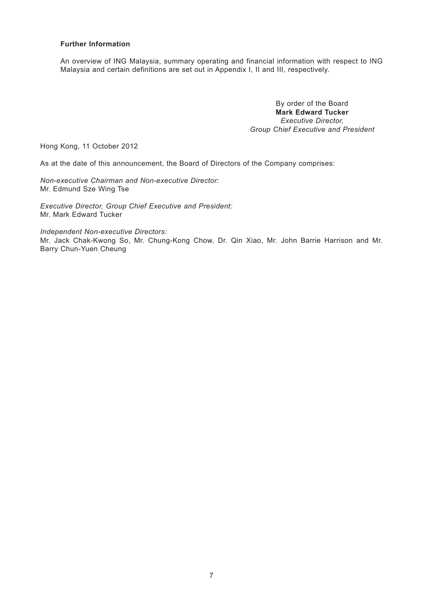## **Further Information**

An overview of ING Malaysia, summary operating and financial information with respect to ING Malaysia and certain definitions are set out in Appendix I, II and III, respectively.

> By order of the Board **Mark Edward Tucker** *Executive Director, Group Chief Executive and President*

Hong Kong, 11 October 2012

As at the date of this announcement, the Board of Directors of the Company comprises:

*Non-executive Chairman and Non-executive Director:* Mr. Edmund Sze Wing Tse

*Executive Director, Group Chief Executive and President:* Mr. Mark Edward Tucker

*Independent Non-executive Directors:*

Mr. Jack Chak-Kwong So, Mr. Chung-Kong Chow, Dr. Qin Xiao, Mr. John Barrie Harrison and Mr. Barry Chun-Yuen Cheung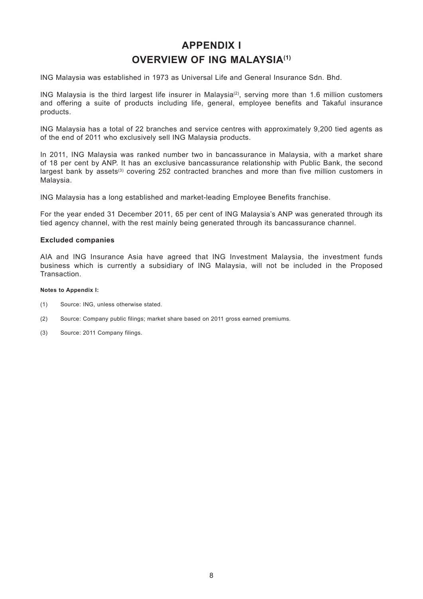# **APPENDIX I OVERVIEW OF ING MALAYSIA(1)**

ING Malaysia was established in 1973 as Universal Life and General Insurance Sdn. Bhd.

ING Malaysia is the third largest life insurer in Malaysia<sup>(2)</sup>, serving more than 1.6 million customers and offering a suite of products including life, general, employee benefits and Takaful insurance products.

ING Malaysia has a total of 22 branches and service centres with approximately 9,200 tied agents as of the end of 2011 who exclusively sell ING Malaysia products.

In 2011, ING Malaysia was ranked number two in bancassurance in Malaysia, with a market share of 18 per cent by ANP. It has an exclusive bancassurance relationship with Public Bank, the second largest bank by assets<sup>(3)</sup> covering 252 contracted branches and more than five million customers in Malaysia.

ING Malaysia has a long established and market-leading Employee Benefits franchise.

For the year ended 31 December 2011, 65 per cent of ING Malaysia's ANP was generated through its tied agency channel, with the rest mainly being generated through its bancassurance channel.

## **Excluded companies**

AIA and ING Insurance Asia have agreed that ING Investment Malaysia, the investment funds business which is currently a subsidiary of ING Malaysia, will not be included in the Proposed Transaction.

#### **Notes to Appendix I:**

- (1) Source: ING, unless otherwise stated.
- (2) Source: Company public filings; market share based on 2011 gross earned premiums.
- (3) Source: 2011 Company filings.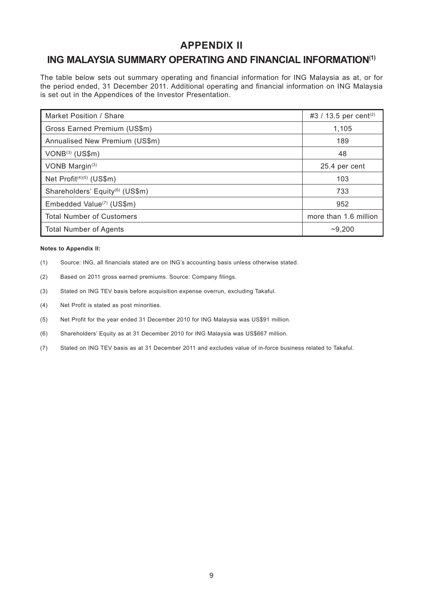## **APPENDIX II**

## **ING MALAYSIA SUMMARY OPERATING AND FINANCIAL INFORMATION(1)**

The table below sets out summary operating and financial information for ING Malaysia as at, or for the period ended, 31 December 2011. Additional operating and financial information on ING Malaysia is set out in the Appendices of the Investor Presentation.

| Market Position / Share                     | #3 / 13.5 per cent <sup>(2)</sup> |
|---------------------------------------------|-----------------------------------|
| Gross Earned Premium (US\$m)                | 1,105                             |
| Annualised New Premium (US\$m)              | 189                               |
| VONB <sup>(3)</sup> (US\$m)                 | 48                                |
| VONB Margin <sup>(3)</sup>                  | 25.4 per cent                     |
| Net Profit <sup>(4)(5)</sup> (US\$m)        | 103                               |
| Shareholders' Equity <sup>(6)</sup> (US\$m) | 733                               |
| Embedded Value <sup>(7)</sup> (US\$m)       | 952                               |
| <b>Total Number of Customers</b>            | more than 1.6 million             |
| <b>Total Number of Agents</b>               | ~10,200                           |

#### **Notes to Appendix II:**

- (1) Source: ING, all financials stated are on ING's accounting basis unless otherwise stated.
- (2) Based on 2011 gross earned premiums. Source: Company filings.
- (3) Stated on ING TEV basis before acquisition expense overrun, excluding Takaful.
- (4) Net Profit is stated as post minorities.
- (5) Net Profit for the year ended 31 December 2010 for ING Malaysia was US\$91 million.
- (6) Shareholders' Equity as at 31 December 2010 for ING Malaysia was US\$667 million.
- (7) Stated on ING TEV basis as at 31 December 2011 and excludes value of in-force business related to Takaful.